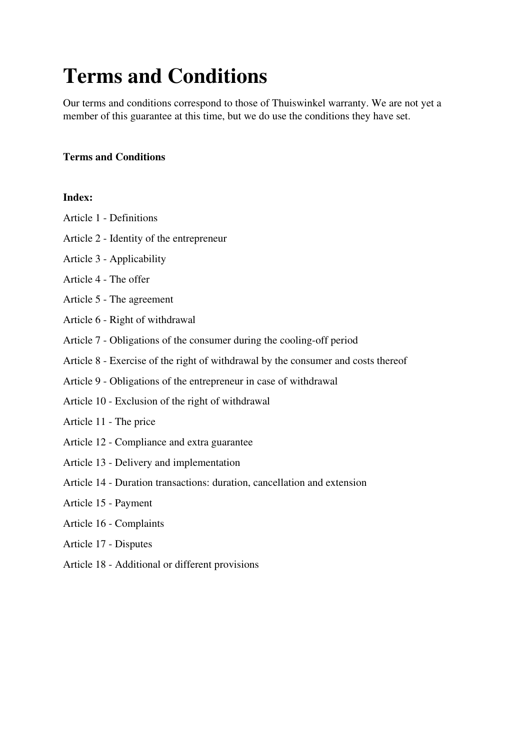# **Terms and Conditions**

Our terms and conditions correspond to those of Thuiswinkel warranty. We are not yet a member of this guarantee at this time, but we do use the conditions they have set.

## **Terms and Conditions**

#### **Index:**

- Article 1 Definitions
- Article 2 Identity of the entrepreneur
- Article 3 Applicability
- Article 4 The offer
- Article 5 The agreement
- Article 6 Right of withdrawal
- Article 7 Obligations of the consumer during the cooling-off period
- Article 8 Exercise of the right of withdrawal by the consumer and costs thereof
- Article 9 Obligations of the entrepreneur in case of withdrawal
- Article 10 Exclusion of the right of withdrawal
- Article 11 The price
- Article 12 Compliance and extra guarantee
- Article 13 Delivery and implementation
- Article 14 Duration transactions: duration, cancellation and extension
- Article 15 Payment
- Article 16 Complaints
- Article 17 Disputes
- Article 18 Additional or different provisions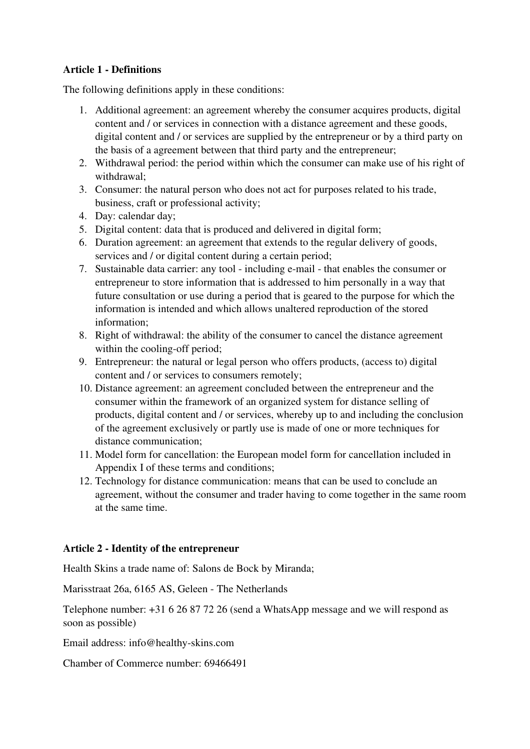# **Article 1 - Definitions**

The following definitions apply in these conditions:

- 1. Additional agreement: an agreement whereby the consumer acquires products, digital content and / or services in connection with a distance agreement and these goods, digital content and / or services are supplied by the entrepreneur or by a third party on the basis of a agreement between that third party and the entrepreneur;
- 2. Withdrawal period: the period within which the consumer can make use of his right of withdrawal;
- 3. Consumer: the natural person who does not act for purposes related to his trade, business, craft or professional activity;
- 4. Day: calendar day;
- 5. Digital content: data that is produced and delivered in digital form;
- 6. Duration agreement: an agreement that extends to the regular delivery of goods, services and / or digital content during a certain period;
- 7. Sustainable data carrier: any tool including e-mail that enables the consumer or entrepreneur to store information that is addressed to him personally in a way that future consultation or use during a period that is geared to the purpose for which the information is intended and which allows unaltered reproduction of the stored information;
- 8. Right of withdrawal: the ability of the consumer to cancel the distance agreement within the cooling-off period;
- 9. Entrepreneur: the natural or legal person who offers products, (access to) digital content and / or services to consumers remotely;
- 10. Distance agreement: an agreement concluded between the entrepreneur and the consumer within the framework of an organized system for distance selling of products, digital content and / or services, whereby up to and including the conclusion of the agreement exclusively or partly use is made of one or more techniques for distance communication;
- 11. Model form for cancellation: the European model form for cancellation included in Appendix I of these terms and conditions;
- 12. Technology for distance communication: means that can be used to conclude an agreement, without the consumer and trader having to come together in the same room at the same time.

## **Article 2 - Identity of the entrepreneur**

Health Skins a trade name of: Salons de Bock by Miranda;

Marisstraat 26a, 6165 AS, Geleen - The Netherlands

Telephone number: +31 6 26 87 72 26 (send a WhatsApp message and we will respond as soon as possible)

Email address: info@healthy-skins.com

Chamber of Commerce number: 69466491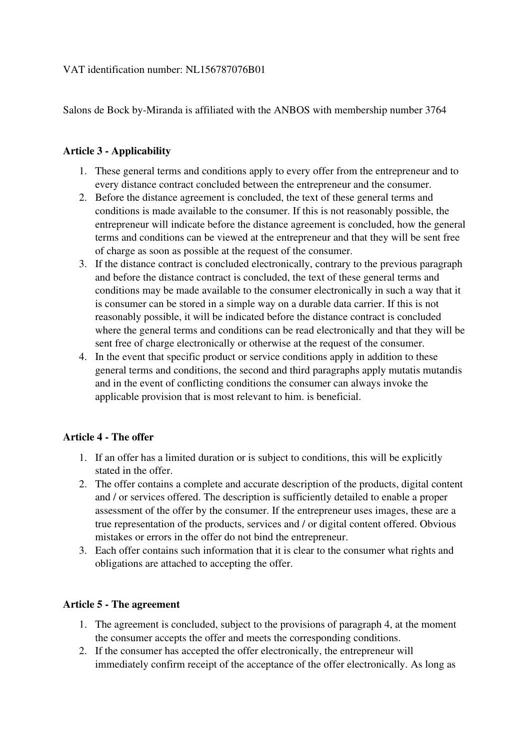## VAT identification number: NL156787076B01

Salons de Bock by-Miranda is affiliated with the ANBOS with membership number 3764

#### **Article 3 - Applicability**

- 1. These general terms and conditions apply to every offer from the entrepreneur and to every distance contract concluded between the entrepreneur and the consumer.
- 2. Before the distance agreement is concluded, the text of these general terms and conditions is made available to the consumer. If this is not reasonably possible, the entrepreneur will indicate before the distance agreement is concluded, how the general terms and conditions can be viewed at the entrepreneur and that they will be sent free of charge as soon as possible at the request of the consumer.
- 3. If the distance contract is concluded electronically, contrary to the previous paragraph and before the distance contract is concluded, the text of these general terms and conditions may be made available to the consumer electronically in such a way that it is consumer can be stored in a simple way on a durable data carrier. If this is not reasonably possible, it will be indicated before the distance contract is concluded where the general terms and conditions can be read electronically and that they will be sent free of charge electronically or otherwise at the request of the consumer.
- 4. In the event that specific product or service conditions apply in addition to these general terms and conditions, the second and third paragraphs apply mutatis mutandis and in the event of conflicting conditions the consumer can always invoke the applicable provision that is most relevant to him. is beneficial.

## **Article 4 - The offer**

- 1. If an offer has a limited duration or is subject to conditions, this will be explicitly stated in the offer.
- 2. The offer contains a complete and accurate description of the products, digital content and / or services offered. The description is sufficiently detailed to enable a proper assessment of the offer by the consumer. If the entrepreneur uses images, these are a true representation of the products, services and / or digital content offered. Obvious mistakes or errors in the offer do not bind the entrepreneur.
- 3. Each offer contains such information that it is clear to the consumer what rights and obligations are attached to accepting the offer.

## **Article 5 - The agreement**

- 1. The agreement is concluded, subject to the provisions of paragraph 4, at the moment the consumer accepts the offer and meets the corresponding conditions.
- 2. If the consumer has accepted the offer electronically, the entrepreneur will immediately confirm receipt of the acceptance of the offer electronically. As long as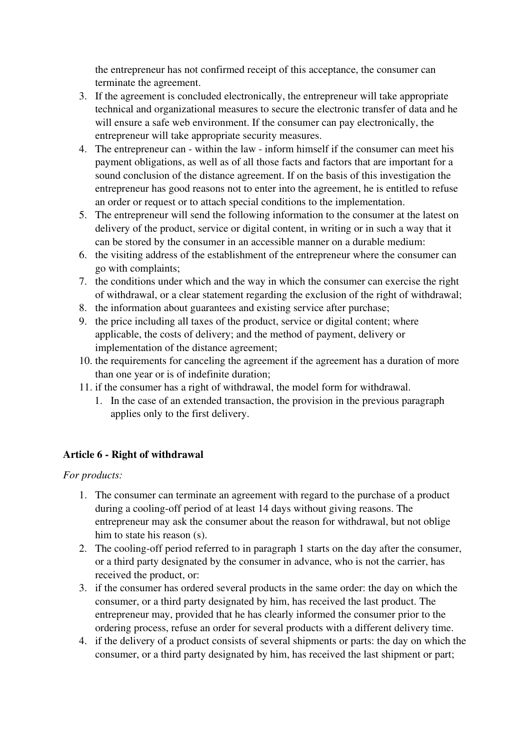the entrepreneur has not confirmed receipt of this acceptance, the consumer can terminate the agreement.

- 3. If the agreement is concluded electronically, the entrepreneur will take appropriate technical and organizational measures to secure the electronic transfer of data and he will ensure a safe web environment. If the consumer can pay electronically, the entrepreneur will take appropriate security measures.
- 4. The entrepreneur can within the law inform himself if the consumer can meet his payment obligations, as well as of all those facts and factors that are important for a sound conclusion of the distance agreement. If on the basis of this investigation the entrepreneur has good reasons not to enter into the agreement, he is entitled to refuse an order or request or to attach special conditions to the implementation.
- 5. The entrepreneur will send the following information to the consumer at the latest on delivery of the product, service or digital content, in writing or in such a way that it can be stored by the consumer in an accessible manner on a durable medium:
- 6. the visiting address of the establishment of the entrepreneur where the consumer can go with complaints;
- 7. the conditions under which and the way in which the consumer can exercise the right of withdrawal, or a clear statement regarding the exclusion of the right of withdrawal;
- 8. the information about guarantees and existing service after purchase;
- 9. the price including all taxes of the product, service or digital content; where applicable, the costs of delivery; and the method of payment, delivery or implementation of the distance agreement;
- 10. the requirements for canceling the agreement if the agreement has a duration of more than one year or is of indefinite duration;
- 11. if the consumer has a right of withdrawal, the model form for withdrawal.
	- 1. In the case of an extended transaction, the provision in the previous paragraph applies only to the first delivery.

# **Article 6 - Right of withdrawal**

*For products:* 

- 1. The consumer can terminate an agreement with regard to the purchase of a product during a cooling-off period of at least 14 days without giving reasons. The entrepreneur may ask the consumer about the reason for withdrawal, but not oblige him to state his reason (s).
- 2. The cooling-off period referred to in paragraph 1 starts on the day after the consumer, or a third party designated by the consumer in advance, who is not the carrier, has received the product, or:
- 3. if the consumer has ordered several products in the same order: the day on which the consumer, or a third party designated by him, has received the last product. The entrepreneur may, provided that he has clearly informed the consumer prior to the ordering process, refuse an order for several products with a different delivery time.
- 4. if the delivery of a product consists of several shipments or parts: the day on which the consumer, or a third party designated by him, has received the last shipment or part;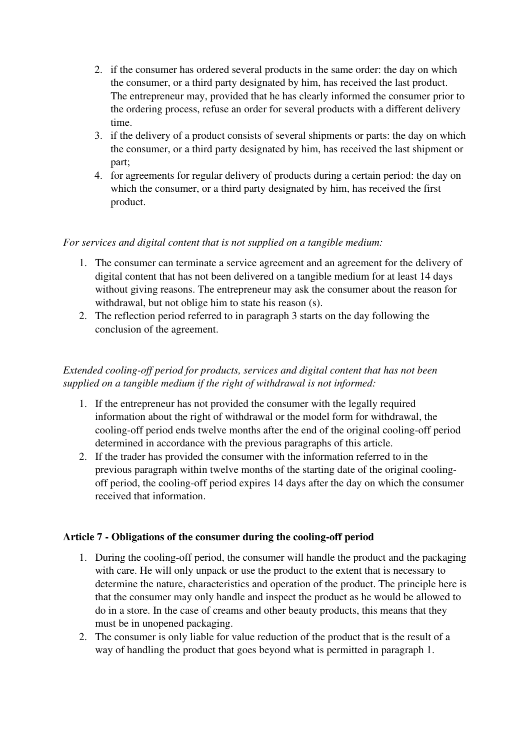- 2. if the consumer has ordered several products in the same order: the day on which the consumer, or a third party designated by him, has received the last product. The entrepreneur may, provided that he has clearly informed the consumer prior to the ordering process, refuse an order for several products with a different delivery time.
- 3. if the delivery of a product consists of several shipments or parts: the day on which the consumer, or a third party designated by him, has received the last shipment or part;
- 4. for agreements for regular delivery of products during a certain period: the day on which the consumer, or a third party designated by him, has received the first product.

# *For services and digital content that is not supplied on a tangible medium:*

- 1. The consumer can terminate a service agreement and an agreement for the delivery of digital content that has not been delivered on a tangible medium for at least 14 days without giving reasons. The entrepreneur may ask the consumer about the reason for withdrawal, but not oblige him to state his reason (s).
- 2. The reflection period referred to in paragraph 3 starts on the day following the conclusion of the agreement.

# *Extended cooling-off period for products, services and digital content that has not been supplied on a tangible medium if the right of withdrawal is not informed:*

- 1. If the entrepreneur has not provided the consumer with the legally required information about the right of withdrawal or the model form for withdrawal, the cooling-off period ends twelve months after the end of the original cooling-off period determined in accordance with the previous paragraphs of this article.
- 2. If the trader has provided the consumer with the information referred to in the previous paragraph within twelve months of the starting date of the original coolingoff period, the cooling-off period expires 14 days after the day on which the consumer received that information.

## **Article 7 - Obligations of the consumer during the cooling-off period**

- 1. During the cooling-off period, the consumer will handle the product and the packaging with care. He will only unpack or use the product to the extent that is necessary to determine the nature, characteristics and operation of the product. The principle here is that the consumer may only handle and inspect the product as he would be allowed to do in a store. In the case of creams and other beauty products, this means that they must be in unopened packaging.
- 2. The consumer is only liable for value reduction of the product that is the result of a way of handling the product that goes beyond what is permitted in paragraph 1.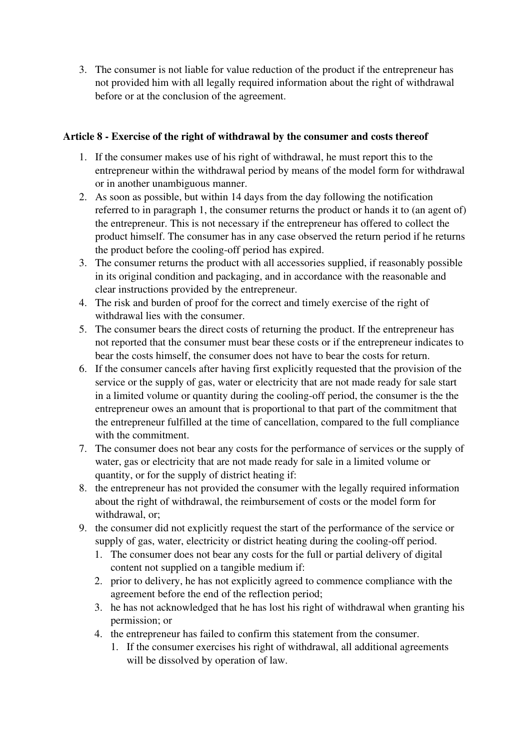3. The consumer is not liable for value reduction of the product if the entrepreneur has not provided him with all legally required information about the right of withdrawal before or at the conclusion of the agreement.

# **Article 8 - Exercise of the right of withdrawal by the consumer and costs thereof**

- 1. If the consumer makes use of his right of withdrawal, he must report this to the entrepreneur within the withdrawal period by means of the model form for withdrawal or in another unambiguous manner.
- 2. As soon as possible, but within 14 days from the day following the notification referred to in paragraph 1, the consumer returns the product or hands it to (an agent of) the entrepreneur. This is not necessary if the entrepreneur has offered to collect the product himself. The consumer has in any case observed the return period if he returns the product before the cooling-off period has expired.
- 3. The consumer returns the product with all accessories supplied, if reasonably possible in its original condition and packaging, and in accordance with the reasonable and clear instructions provided by the entrepreneur.
- 4. The risk and burden of proof for the correct and timely exercise of the right of withdrawal lies with the consumer.
- 5. The consumer bears the direct costs of returning the product. If the entrepreneur has not reported that the consumer must bear these costs or if the entrepreneur indicates to bear the costs himself, the consumer does not have to bear the costs for return.
- 6. If the consumer cancels after having first explicitly requested that the provision of the service or the supply of gas, water or electricity that are not made ready for sale start in a limited volume or quantity during the cooling-off period, the consumer is the the entrepreneur owes an amount that is proportional to that part of the commitment that the entrepreneur fulfilled at the time of cancellation, compared to the full compliance with the commitment.
- 7. The consumer does not bear any costs for the performance of services or the supply of water, gas or electricity that are not made ready for sale in a limited volume or quantity, or for the supply of district heating if:
- 8. the entrepreneur has not provided the consumer with the legally required information about the right of withdrawal, the reimbursement of costs or the model form for withdrawal, or;
- 9. the consumer did not explicitly request the start of the performance of the service or supply of gas, water, electricity or district heating during the cooling-off period.
	- 1. The consumer does not bear any costs for the full or partial delivery of digital content not supplied on a tangible medium if:
	- 2. prior to delivery, he has not explicitly agreed to commence compliance with the agreement before the end of the reflection period;
	- 3. he has not acknowledged that he has lost his right of withdrawal when granting his permission; or
	- 4. the entrepreneur has failed to confirm this statement from the consumer.
		- 1. If the consumer exercises his right of withdrawal, all additional agreements will be dissolved by operation of law.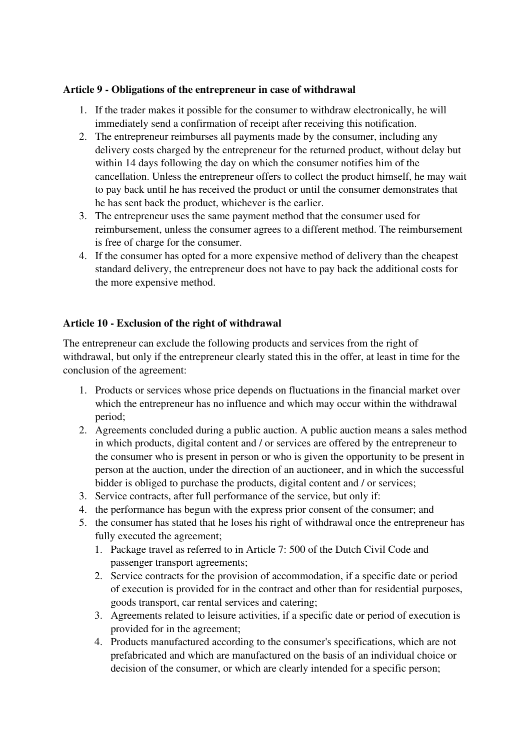## **Article 9 - Obligations of the entrepreneur in case of withdrawal**

- 1. If the trader makes it possible for the consumer to withdraw electronically, he will immediately send a confirmation of receipt after receiving this notification.
- 2. The entrepreneur reimburses all payments made by the consumer, including any delivery costs charged by the entrepreneur for the returned product, without delay but within 14 days following the day on which the consumer notifies him of the cancellation. Unless the entrepreneur offers to collect the product himself, he may wait to pay back until he has received the product or until the consumer demonstrates that he has sent back the product, whichever is the earlier.
- 3. The entrepreneur uses the same payment method that the consumer used for reimbursement, unless the consumer agrees to a different method. The reimbursement is free of charge for the consumer.
- 4. If the consumer has opted for a more expensive method of delivery than the cheapest standard delivery, the entrepreneur does not have to pay back the additional costs for the more expensive method.

# **Article 10 - Exclusion of the right of withdrawal**

The entrepreneur can exclude the following products and services from the right of withdrawal, but only if the entrepreneur clearly stated this in the offer, at least in time for the conclusion of the agreement:

- 1. Products or services whose price depends on fluctuations in the financial market over which the entrepreneur has no influence and which may occur within the withdrawal period;
- 2. Agreements concluded during a public auction. A public auction means a sales method in which products, digital content and / or services are offered by the entrepreneur to the consumer who is present in person or who is given the opportunity to be present in person at the auction, under the direction of an auctioneer, and in which the successful bidder is obliged to purchase the products, digital content and / or services;
- 3. Service contracts, after full performance of the service, but only if:
- 4. the performance has begun with the express prior consent of the consumer; and
- 5. the consumer has stated that he loses his right of withdrawal once the entrepreneur has fully executed the agreement;
	- 1. Package travel as referred to in Article 7: 500 of the Dutch Civil Code and passenger transport agreements;
	- 2. Service contracts for the provision of accommodation, if a specific date or period of execution is provided for in the contract and other than for residential purposes, goods transport, car rental services and catering;
	- 3. Agreements related to leisure activities, if a specific date or period of execution is provided for in the agreement;
	- 4. Products manufactured according to the consumer's specifications, which are not prefabricated and which are manufactured on the basis of an individual choice or decision of the consumer, or which are clearly intended for a specific person;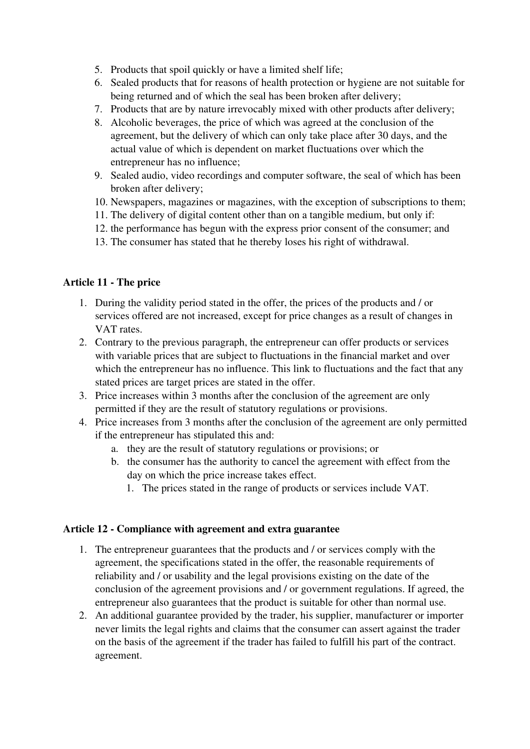- 5. Products that spoil quickly or have a limited shelf life;
- 6. Sealed products that for reasons of health protection or hygiene are not suitable for being returned and of which the seal has been broken after delivery;
- 7. Products that are by nature irrevocably mixed with other products after delivery;
- 8. Alcoholic beverages, the price of which was agreed at the conclusion of the agreement, but the delivery of which can only take place after 30 days, and the actual value of which is dependent on market fluctuations over which the entrepreneur has no influence;
- 9. Sealed audio, video recordings and computer software, the seal of which has been broken after delivery;
- 10. Newspapers, magazines or magazines, with the exception of subscriptions to them;
- 11. The delivery of digital content other than on a tangible medium, but only if:
- 12. the performance has begun with the express prior consent of the consumer; and
- 13. The consumer has stated that he thereby loses his right of withdrawal.

## **Article 11 - The price**

- 1. During the validity period stated in the offer, the prices of the products and / or services offered are not increased, except for price changes as a result of changes in VAT rates.
- 2. Contrary to the previous paragraph, the entrepreneur can offer products or services with variable prices that are subject to fluctuations in the financial market and over which the entrepreneur has no influence. This link to fluctuations and the fact that any stated prices are target prices are stated in the offer.
- 3. Price increases within 3 months after the conclusion of the agreement are only permitted if they are the result of statutory regulations or provisions.
- 4. Price increases from 3 months after the conclusion of the agreement are only permitted if the entrepreneur has stipulated this and:
	- a. they are the result of statutory regulations or provisions; or
	- b. the consumer has the authority to cancel the agreement with effect from the day on which the price increase takes effect.
		- 1. The prices stated in the range of products or services include VAT.

#### **Article 12 - Compliance with agreement and extra guarantee**

- 1. The entrepreneur guarantees that the products and / or services comply with the agreement, the specifications stated in the offer, the reasonable requirements of reliability and / or usability and the legal provisions existing on the date of the conclusion of the agreement provisions and / or government regulations. If agreed, the entrepreneur also guarantees that the product is suitable for other than normal use.
- 2. An additional guarantee provided by the trader, his supplier, manufacturer or importer never limits the legal rights and claims that the consumer can assert against the trader on the basis of the agreement if the trader has failed to fulfill his part of the contract. agreement.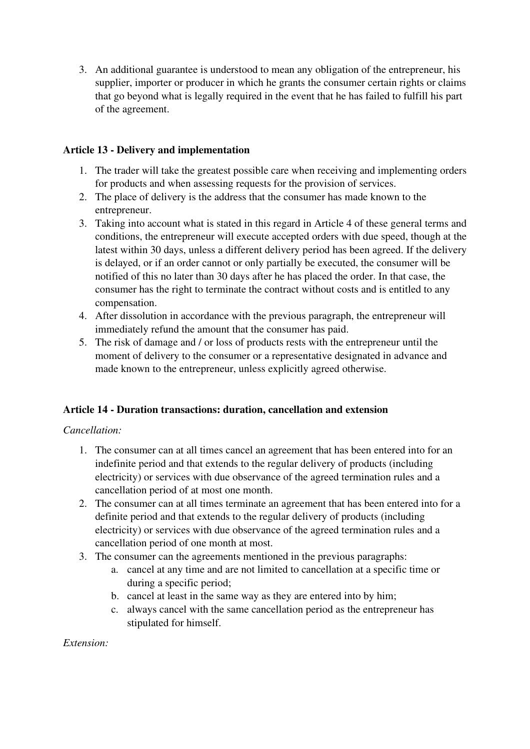3. An additional guarantee is understood to mean any obligation of the entrepreneur, his supplier, importer or producer in which he grants the consumer certain rights or claims that go beyond what is legally required in the event that he has failed to fulfill his part of the agreement.

# **Article 13 - Delivery and implementation**

- 1. The trader will take the greatest possible care when receiving and implementing orders for products and when assessing requests for the provision of services.
- 2. The place of delivery is the address that the consumer has made known to the entrepreneur.
- 3. Taking into account what is stated in this regard in Article 4 of these general terms and conditions, the entrepreneur will execute accepted orders with due speed, though at the latest within 30 days, unless a different delivery period has been agreed. If the delivery is delayed, or if an order cannot or only partially be executed, the consumer will be notified of this no later than 30 days after he has placed the order. In that case, the consumer has the right to terminate the contract without costs and is entitled to any compensation.
- 4. After dissolution in accordance with the previous paragraph, the entrepreneur will immediately refund the amount that the consumer has paid.
- 5. The risk of damage and / or loss of products rests with the entrepreneur until the moment of delivery to the consumer or a representative designated in advance and made known to the entrepreneur, unless explicitly agreed otherwise.

## **Article 14 - Duration transactions: duration, cancellation and extension**

## *Cancellation:*

- 1. The consumer can at all times cancel an agreement that has been entered into for an indefinite period and that extends to the regular delivery of products (including electricity) or services with due observance of the agreed termination rules and a cancellation period of at most one month.
- 2. The consumer can at all times terminate an agreement that has been entered into for a definite period and that extends to the regular delivery of products (including electricity) or services with due observance of the agreed termination rules and a cancellation period of one month at most.
- 3. The consumer can the agreements mentioned in the previous paragraphs:
	- a. cancel at any time and are not limited to cancellation at a specific time or during a specific period;
	- b. cancel at least in the same way as they are entered into by him;
	- c. always cancel with the same cancellation period as the entrepreneur has stipulated for himself.

*Extension:*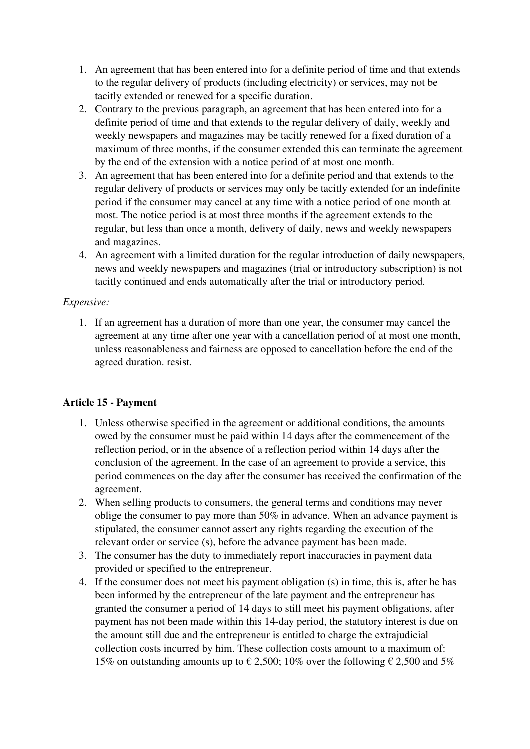- 1. An agreement that has been entered into for a definite period of time and that extends to the regular delivery of products (including electricity) or services, may not be tacitly extended or renewed for a specific duration.
- 2. Contrary to the previous paragraph, an agreement that has been entered into for a definite period of time and that extends to the regular delivery of daily, weekly and weekly newspapers and magazines may be tacitly renewed for a fixed duration of a maximum of three months, if the consumer extended this can terminate the agreement by the end of the extension with a notice period of at most one month.
- 3. An agreement that has been entered into for a definite period and that extends to the regular delivery of products or services may only be tacitly extended for an indefinite period if the consumer may cancel at any time with a notice period of one month at most. The notice period is at most three months if the agreement extends to the regular, but less than once a month, delivery of daily, news and weekly newspapers and magazines.
- 4. An agreement with a limited duration for the regular introduction of daily newspapers, news and weekly newspapers and magazines (trial or introductory subscription) is not tacitly continued and ends automatically after the trial or introductory period.

# *Expensive:*

1. If an agreement has a duration of more than one year, the consumer may cancel the agreement at any time after one year with a cancellation period of at most one month, unless reasonableness and fairness are opposed to cancellation before the end of the agreed duration. resist.

# **Article 15 - Payment**

- 1. Unless otherwise specified in the agreement or additional conditions, the amounts owed by the consumer must be paid within 14 days after the commencement of the reflection period, or in the absence of a reflection period within 14 days after the conclusion of the agreement. In the case of an agreement to provide a service, this period commences on the day after the consumer has received the confirmation of the agreement.
- 2. When selling products to consumers, the general terms and conditions may never oblige the consumer to pay more than 50% in advance. When an advance payment is stipulated, the consumer cannot assert any rights regarding the execution of the relevant order or service (s), before the advance payment has been made.
- 3. The consumer has the duty to immediately report inaccuracies in payment data provided or specified to the entrepreneur.
- 4. If the consumer does not meet his payment obligation (s) in time, this is, after he has been informed by the entrepreneur of the late payment and the entrepreneur has granted the consumer a period of 14 days to still meet his payment obligations, after payment has not been made within this 14-day period, the statutory interest is due on the amount still due and the entrepreneur is entitled to charge the extrajudicial collection costs incurred by him. These collection costs amount to a maximum of: 15% on outstanding amounts up to  $\epsilon$  2,500; 10% over the following  $\epsilon$  2,500 and 5%